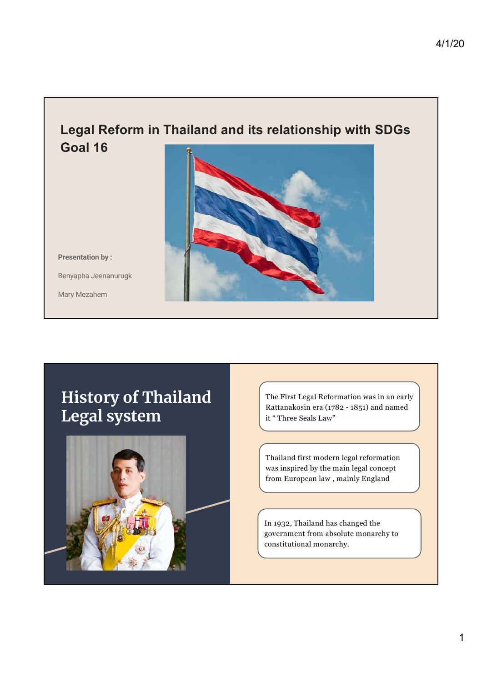### **Legal Reform in Thailand and its relationship with SDGs Goal 16**

Presentation by :

Benyapha Jeenanurugk

Mary Mezahem



# History of Thailand Legal system



The First Legal Reformation was in an early Rattanakosin era (1782 - 1851) and named it " Three Seals Law"

Thailand first modern legal reformation was inspired by the main legal concept from European law , mainly England

In 1932, Thailand has changed the government from absolute monarchy to constitutional monarchy.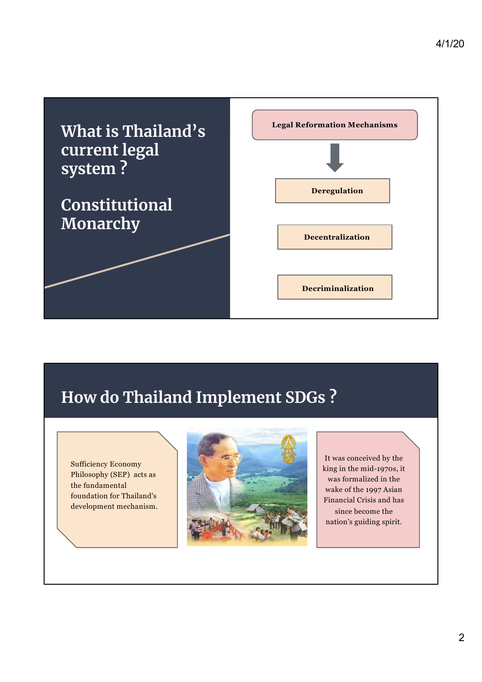

# How do Thailand Implement SDGs ?

Sufficiency Economy Philosophy (SEP) acts as the fundamental foundation for Thailand's development mechanism.



It was conceived by the king in the mid-1970s, it was formalized in the wake of the 1997 Asian Financial Crisis and has since become the nation's guiding spirit.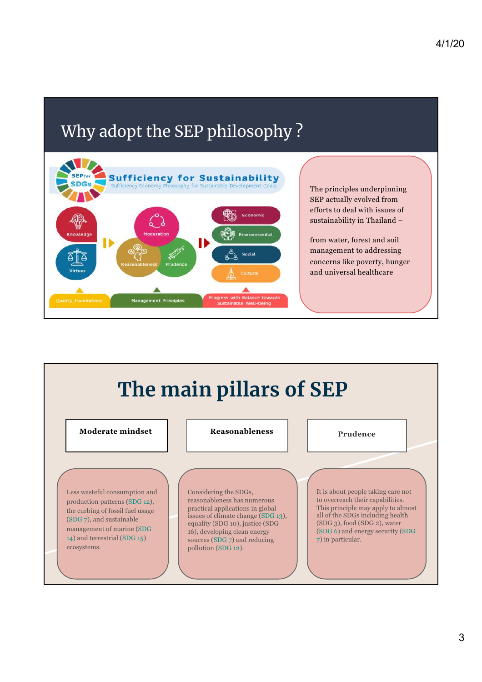# Why adopt the SEP philosophy ?



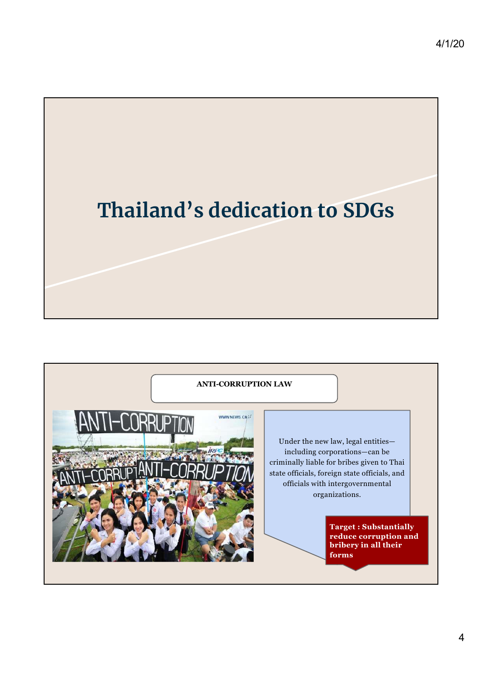

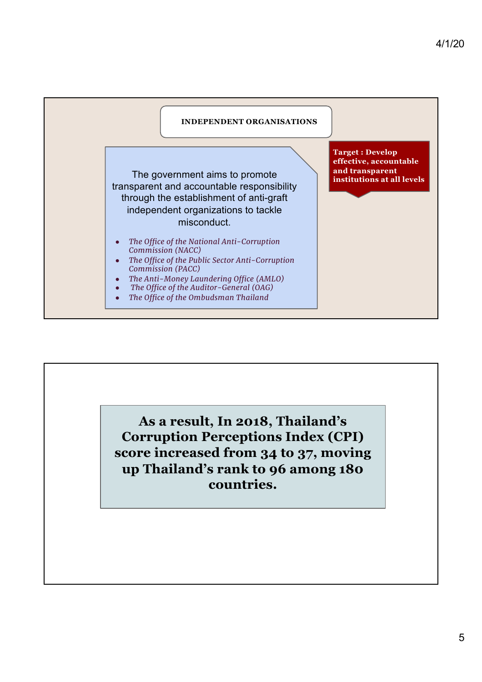

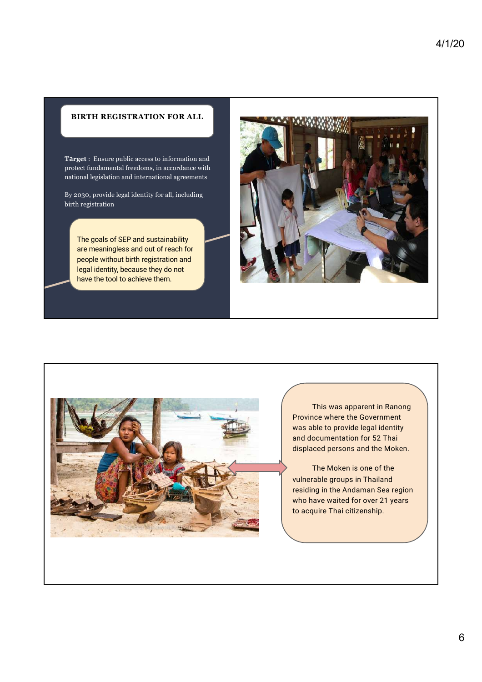#### **BIRTH REGISTRATION FOR ALL**

Ta**rget** : Ensure public access to information and protect fundamental freedoms, in accordance with national legislation and international agreements

By 2030, provide legal identity for all, including birth registration

The goals of SEP and sustainability are meaningless and out of reach for people without birth registration and legal identity, because they do not have the tool to achieve them.





This was apparent in Ranong Province where the Government was able to provide legal identity and documentation for 52 Thai displaced persons and the Moken.

The Moken is one of the vulnerable groups in Thailand residing in the Andaman Sea region who have waited for over 21 years to acquire Thai citizenship.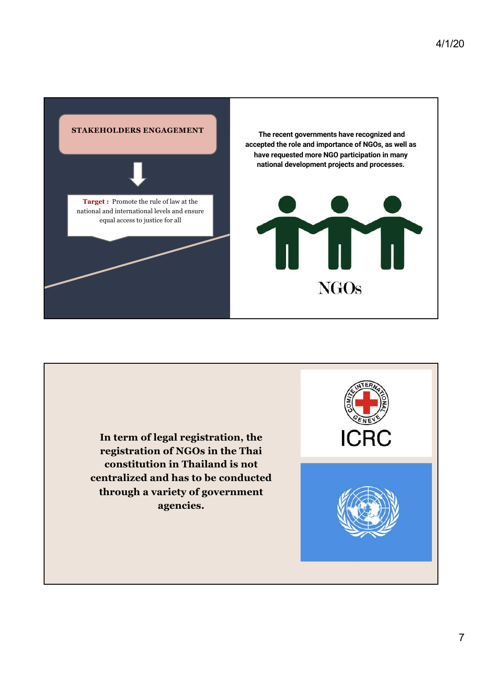

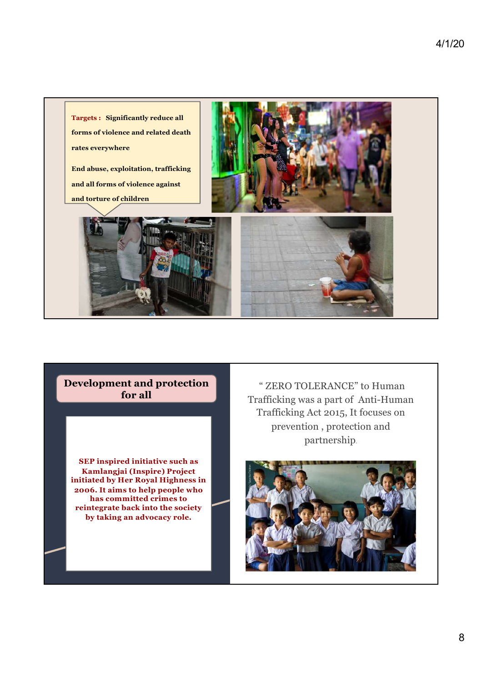

#### **Development and protection for all**

**SEP inspired initiative such as Kamlangjai (Inspire) Project initiated by Her Royal Highness in 2006. It aims to help people who has committed crimes to reintegrate back into the society by taking an advocacy role.** 

" ZERO TOLERANCE" to Human Trafficking was a part of Anti-Human Trafficking Act 2015, It focuses on prevention , protection and partnership.

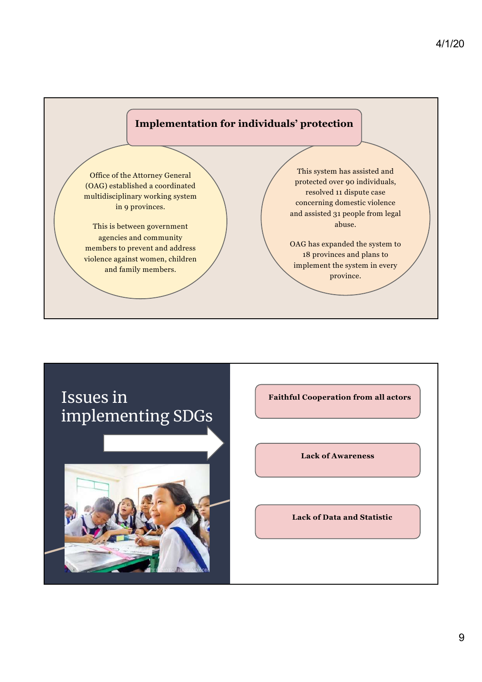

## Issues in implementing SDGs



**Faithful Cooperation from all actors** 

**Lack of Awareness** 

**Lack of Data and Statistic**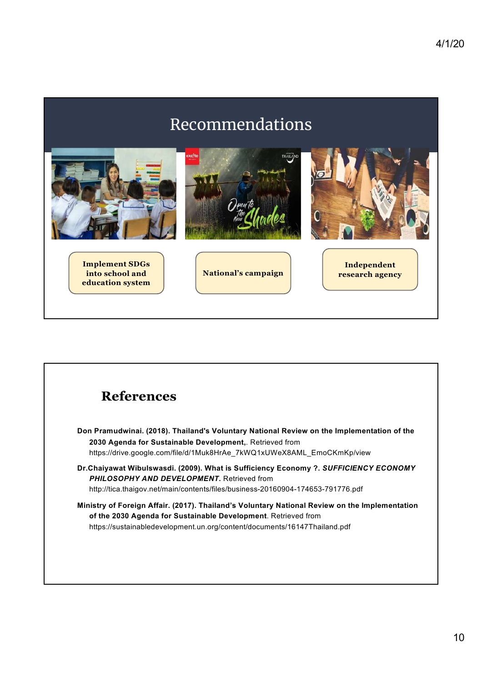# Recommendations



| Don Pramudwinai. (2018). Thailand's Voluntary National Review on the Implementation of the<br>2030 Agenda for Sustainable Development,. Retrieved from<br>https://drive.google.com/file/d/1Muk8HrAe 7kWQ1xUWeX8AML EmoCKmKp/view              |
|-----------------------------------------------------------------------------------------------------------------------------------------------------------------------------------------------------------------------------------------------|
|                                                                                                                                                                                                                                               |
| Dr.Chaiyawat Wibulswasdi. (2009). What is Sufficiency Economy ?. SUFFICIENCY ECONOMY<br><b>PHILOSOPHY AND DEVELOPMENT.</b> Retrieved from<br>http://tica.thaigov.net/main/contents/files/business-20160904-174653-791776.pdf                  |
| Ministry of Foreign Affair. (2017). Thailand's Voluntary National Review on the Implementation<br>of the 2030 Agenda for Sustainable Development. Retrieved from<br>https://sustainabledevelopment.un.org/content/documents/16147Thailand.pdf |